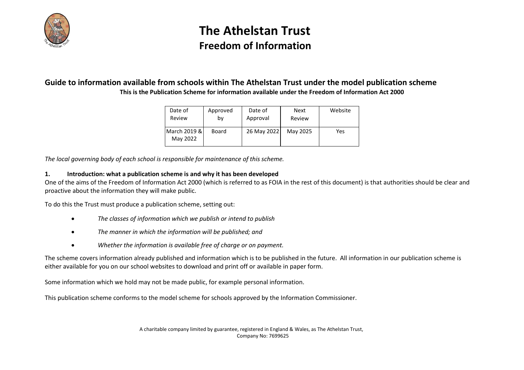

### **Guide to information available from schools within The Athelstan Trust under the model publication scheme This is the Publication Scheme for information available under the Freedom of Information Act 2000**

| Date of                  | Approved | Date of     | <b>Next</b> | Website |
|--------------------------|----------|-------------|-------------|---------|
| Review                   | b٧       | Approval    | Review      |         |
| March 2019 &<br>May 2022 | Board    | 26 May 2022 | May 2025    | Yes     |

*The local governing body of each school is responsible for maintenance of this scheme.*

### **1. Introduction: what a publication scheme is and why it has been developed**

One of the aims of the Freedom of Information Act 2000 (which is referred to as FOIA in the rest of this document) is that authorities should be clear and proactive about the information they will make public.

To do this the Trust must produce a publication scheme, setting out:

- *The classes of information which we publish or intend to publish*
- *The manner in which the information will be published; and*
- *Whether the information is available free of charge or on payment.*

The scheme covers information already published and information which is to be published in the future. All information in our publication scheme is either available for you on our school websites to download and print off or available in paper form.

Some information which we hold may not be made public, for example personal information.

This publication scheme conforms to the model scheme for schools approved by the Information Commissioner.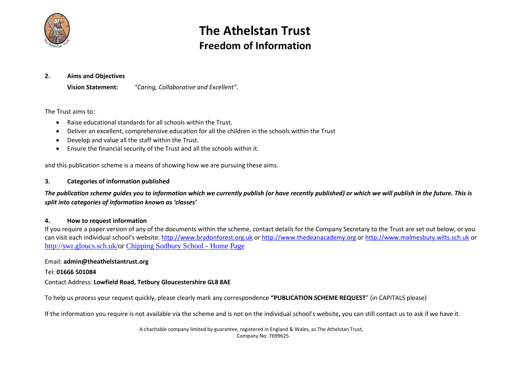

#### **2. Aims and Objectives**

**Vision Statement:** *"Caring, Collaborative and Excellent".*

### The Trust aims to:

- Raise educational standards for all schools within the Trust.
- Deliver an excellent, comprehensive education for all the children in the schools within the Trust
- Develop and value all the staff within the Trust.
- Ensure the financial security of the Trust and all the schools within it.

and this publication scheme is a means of showing how we are pursuing these aims.

### **3. Categories of information published**

*The publication scheme guides you to information which we currently publish (or have recently published) or which we will publish in the future. This is split into categories of information known as 'classes'*

#### **4. How to request information**

If you require a paper version of any of the documents within the scheme, contact details for the Company Secretary to the Trust are set out below, or you can visit each individual school's website: [http://www.bradonforest.org.uk](http://www.bradonforest.org.uk/) o[r http://www.thedeanacademy.org](http://www.thedeanacademy.org/) or [http://www.malmesbury.wilts.sch.uk](http://www.malmesbury.wilts.sch.uk/) or [http://swr.gloucs.sch.uk/o](http://swr.gloucs.sch.uk/)r [Chipping Sodbury School -](http://www.chippingsodburyschool.com/) Home Page

### Email: **admin@theathelstantrust.org**

#### Tel: **01666 501084**

### Contact Address: **Lowfield Road, Tetbury Gloucestershire GL8 8AE**

To help us process your request quickly, please clearly mark any correspondence **"PUBLICATION SCHEME REQUEST**" (in CAPITALS please)

If the information you require is not available via the scheme and is not on the individual school's website**,** you can still contact us to ask if we have it.

A charitable company limited by guarantee, registered in England & Wales, as The Athelstan Trust, Company No: 7699625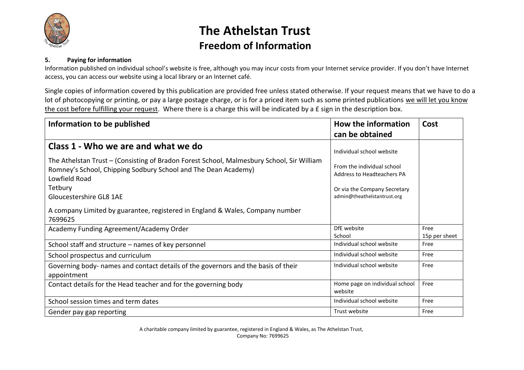

### **5. Paying for information**

Information published on individual school's website is free, although you may incur costs from your Internet service provider. If you don't have Internet access, you can access our website using a local library or an Internet café.

Single copies of information covered by this publication are provided free unless stated otherwise. If your request means that we have to do a lot of photocopying or printing, or pay a large postage charge, or is for a priced item such as some printed publications we will let you know the cost before fulfilling your request. Where there is a charge this will be indicated by a £ sign in the description box.

| Information to be published                                                                                                                                                  | How the information                                      | Cost                  |
|------------------------------------------------------------------------------------------------------------------------------------------------------------------------------|----------------------------------------------------------|-----------------------|
|                                                                                                                                                                              | can be obtained                                          |                       |
| Class 1 - Who we are and what we do                                                                                                                                          | Individual school website                                |                       |
| The Athelstan Trust - (Consisting of Bradon Forest School, Malmesbury School, Sir William<br>Romney's School, Chipping Sodbury School and The Dean Academy)<br>Lowfield Road | From the individual school<br>Address to Headteachers PA |                       |
| Tetbury                                                                                                                                                                      | Or via the Company Secretary                             |                       |
| Gloucestershire GL8 1AE                                                                                                                                                      | admin@theathelstantrust.org                              |                       |
| A company Limited by guarantee, registered in England & Wales, Company number<br>7699625                                                                                     |                                                          |                       |
| Academy Funding Agreement/Academy Order                                                                                                                                      | DfE website<br>School                                    | Free<br>15p per sheet |
| School staff and structure – names of key personnel                                                                                                                          | Individual school website                                | Free                  |
| School prospectus and curriculum                                                                                                                                             | Individual school website                                | Free                  |
| Governing body- names and contact details of the governors and the basis of their<br>appointment                                                                             | Individual school website                                | Free                  |
| Contact details for the Head teacher and for the governing body                                                                                                              | Home page on individual school<br>website                | Free                  |
| School session times and term dates                                                                                                                                          | Individual school website                                | Free                  |
| Gender pay gap reporting                                                                                                                                                     | Trust website                                            | Free                  |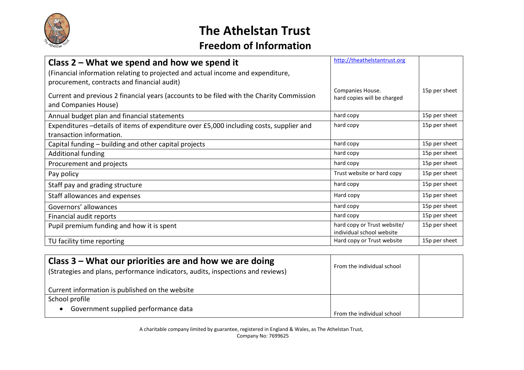

| Class $2$ – What we spend and how we spend it                                                                                  | http://theathelstantrust.org                             |               |
|--------------------------------------------------------------------------------------------------------------------------------|----------------------------------------------------------|---------------|
| (Financial information relating to projected and actual income and expenditure,<br>procurement, contracts and financial audit) |                                                          |               |
| Current and previous 2 financial years (accounts to be filed with the Charity Commission<br>and Companies House)               | Companies House.<br>hard copies will be charged          | 15p per sheet |
| Annual budget plan and financial statements                                                                                    | hard copy                                                | 15p per sheet |
| Expenditures -details of items of expenditure over £5,000 including costs, supplier and<br>transaction information.            | hard copy                                                | 15p per sheet |
| Capital funding – building and other capital projects                                                                          | hard copy                                                | 15p per sheet |
| <b>Additional funding</b>                                                                                                      | hard copy                                                | 15p per sheet |
| Procurement and projects                                                                                                       | hard copy                                                | 15p per sheet |
| Pay policy                                                                                                                     | Trust website or hard copy                               | 15p per sheet |
| Staff pay and grading structure                                                                                                | hard copy                                                | 15p per sheet |
| Staff allowances and expenses                                                                                                  | Hard copy                                                | 15p per sheet |
| Governors' allowances                                                                                                          | hard copy                                                | 15p per sheet |
| Financial audit reports                                                                                                        | hard copy                                                | 15p per sheet |
| Pupil premium funding and how it is spent                                                                                      | hard copy or Trust website/<br>individual school website | 15p per sheet |
| TU facility time reporting                                                                                                     | Hard copy or Trust website                               | 15p per sheet |

| Class $3$ – What our priorities are and how we are doing<br>(Strategies and plans, performance indicators, audits, inspections and reviews) | From the individual school |  |
|---------------------------------------------------------------------------------------------------------------------------------------------|----------------------------|--|
| Current information is published on the website                                                                                             |                            |  |
| School profile                                                                                                                              |                            |  |
| Government supplied performance data                                                                                                        | From the individual school |  |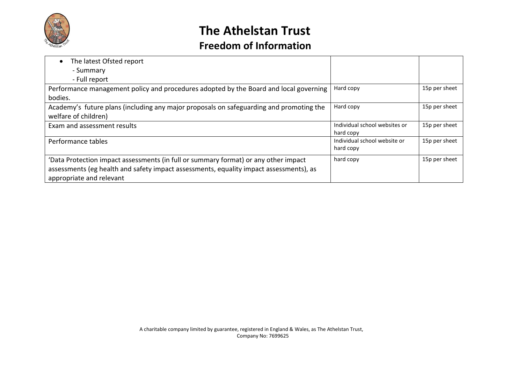

| The latest Ofsted report                                                                |                               |               |
|-----------------------------------------------------------------------------------------|-------------------------------|---------------|
| - Summary                                                                               |                               |               |
| - Full report                                                                           |                               |               |
| Performance management policy and procedures adopted by the Board and local governing   | Hard copy                     | 15p per sheet |
| bodies.                                                                                 |                               |               |
| Academy's future plans (including any major proposals on safeguarding and promoting the | Hard copy                     | 15p per sheet |
| welfare of children)                                                                    |                               |               |
| Exam and assessment results                                                             | Individual school websites or | 15p per sheet |
|                                                                                         | hard copy                     |               |
| Performance tables                                                                      | Individual school website or  | 15p per sheet |
|                                                                                         | hard copy                     |               |
| 'Data Protection impact assessments (in full or summary format) or any other impact     | hard copy                     | 15p per sheet |
| assessments (eg health and safety impact assessments, equality impact assessments), as  |                               |               |
| appropriate and relevant                                                                |                               |               |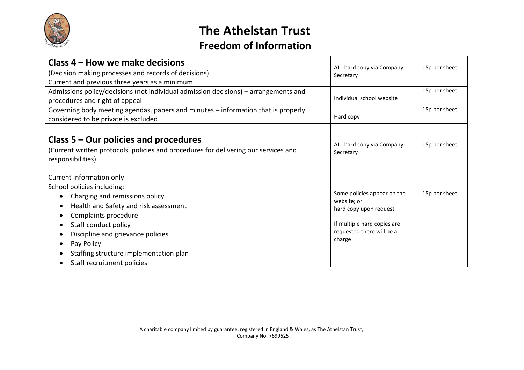

| Class 4 – How we make decisions                                                     | ALL hard copy via Company                  | 15p per sheet |
|-------------------------------------------------------------------------------------|--------------------------------------------|---------------|
| (Decision making processes and records of decisions)                                | Secretary                                  |               |
| Current and previous three years as a minimum                                       |                                            |               |
| Admissions policy/decisions (not individual admission decisions) - arrangements and |                                            | 15p per sheet |
| procedures and right of appeal                                                      | Individual school website                  |               |
| Governing body meeting agendas, papers and minutes - information that is properly   |                                            | 15p per sheet |
| considered to be private is excluded                                                | Hard copy                                  |               |
|                                                                                     |                                            |               |
| Class $5 -$ Our policies and procedures                                             | ALL hard copy via Company                  | 15p per sheet |
| (Current written protocols, policies and procedures for delivering our services and | Secretary                                  |               |
| responsibilities)                                                                   |                                            |               |
|                                                                                     |                                            |               |
| Current information only                                                            |                                            |               |
| School policies including:                                                          |                                            |               |
| Charging and remissions policy                                                      | Some policies appear on the<br>website; or | 15p per sheet |
| Health and Safety and risk assessment                                               | hard copy upon request.                    |               |
| Complaints procedure                                                                |                                            |               |
| Staff conduct policy                                                                | If multiple hard copies are                |               |
| Discipline and grievance policies                                                   | requested there will be a                  |               |
| Pay Policy                                                                          | charge                                     |               |
| Staffing structure implementation plan                                              |                                            |               |
| Staff recruitment policies                                                          |                                            |               |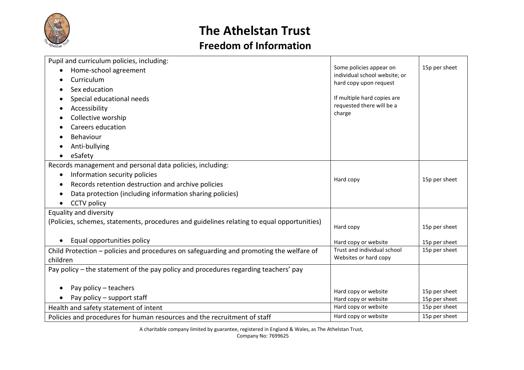

| Pupil and curriculum policies, including:                                                  |                                                         |               |
|--------------------------------------------------------------------------------------------|---------------------------------------------------------|---------------|
| Home-school agreement                                                                      | Some policies appear on                                 | 15p per sheet |
| Curriculum                                                                                 | individual school website; or<br>hard copy upon request |               |
| Sex education                                                                              |                                                         |               |
| Special educational needs                                                                  | If multiple hard copies are                             |               |
| Accessibility<br>$\bullet$                                                                 | requested there will be a                               |               |
| Collective worship                                                                         | charge                                                  |               |
| Careers education                                                                          |                                                         |               |
| Behaviour                                                                                  |                                                         |               |
| Anti-bullying                                                                              |                                                         |               |
| eSafety                                                                                    |                                                         |               |
| Records management and personal data policies, including:                                  |                                                         |               |
| Information security policies<br>$\bullet$                                                 |                                                         |               |
| Records retention destruction and archive policies<br>c                                    | Hard copy                                               | 15p per sheet |
| Data protection (including information sharing policies)<br>о                              |                                                         |               |
| <b>CCTV</b> policy<br>$\bullet$                                                            |                                                         |               |
| Equality and diversity                                                                     |                                                         |               |
| (Policies, schemes, statements, procedures and guidelines relating to equal opportunities) | Hard copy                                               | 15p per sheet |
|                                                                                            |                                                         |               |
| Equal opportunities policy<br>$\bullet$                                                    | Hard copy or website                                    | 15p per sheet |
| Child Protection – policies and procedures on safeguarding and promoting the welfare of    | Trust and individual school                             | 15p per sheet |
| children                                                                                   | Websites or hard copy                                   |               |
| Pay policy – the statement of the pay policy and procedures regarding teachers' pay        |                                                         |               |
|                                                                                            |                                                         |               |
| Pay policy - teachers                                                                      | Hard copy or website                                    | 15p per sheet |
| Pay policy – support staff                                                                 | Hard copy or website                                    | 15p per sheet |
| Health and safety statement of intent                                                      | Hard copy or website                                    | 15p per sheet |
| Policies and procedures for human resources and the recruitment of staff                   | Hard copy or website                                    | 15p per sheet |

A charitable company limited by guarantee, registered in England & Wales, as The Athelstan Trust, Company No: 7699625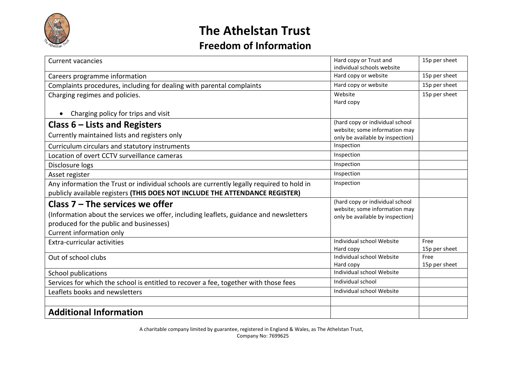

| <b>Current vacancies</b>                                                                  | Hard copy or Trust and                         | 15p per sheet |
|-------------------------------------------------------------------------------------------|------------------------------------------------|---------------|
|                                                                                           | individual schools website                     |               |
| Careers programme information                                                             | Hard copy or website                           | 15p per sheet |
| Complaints procedures, including for dealing with parental complaints                     | Hard copy or website                           | 15p per sheet |
| Charging regimes and policies.                                                            | Website                                        | 15p per sheet |
|                                                                                           | Hard copy                                      |               |
| Charging policy for trips and visit                                                       |                                                |               |
| Class $6$ – Lists and Registers                                                           | (hard copy or individual school                |               |
| Currently maintained lists and registers only                                             | website; some information may                  |               |
|                                                                                           | only be available by inspection)<br>Inspection |               |
| Curriculum circulars and statutory instruments                                            |                                                |               |
| Location of overt CCTV surveillance cameras                                               | Inspection                                     |               |
| Disclosure logs                                                                           | Inspection                                     |               |
| Asset register                                                                            | Inspection                                     |               |
| Any information the Trust or individual schools are currently legally required to hold in | Inspection                                     |               |
| publicly available registers (THIS DOES NOT INCLUDE THE ATTENDANCE REGISTER)              |                                                |               |
| Class $7$ – The services we offer                                                         | (hard copy or individual school                |               |
| (Information about the services we offer, including leaflets, guidance and newsletters    | website; some information may                  |               |
| produced for the public and businesses)                                                   | only be available by inspection)               |               |
| Current information only                                                                  |                                                |               |
| Extra-curricular activities                                                               | Individual school Website                      | Free          |
|                                                                                           | Hard copy                                      | 15p per sheet |
| Out of school clubs                                                                       | Individual school Website                      | Free          |
|                                                                                           | Hard copy                                      | 15p per sheet |
| <b>School publications</b>                                                                | Individual school Website                      |               |
| Services for which the school is entitled to recover a fee, together with those fees      | Individual school                              |               |
| Leaflets books and newsletters                                                            | Individual school Website                      |               |
|                                                                                           |                                                |               |
| <b>Additional Information</b>                                                             |                                                |               |